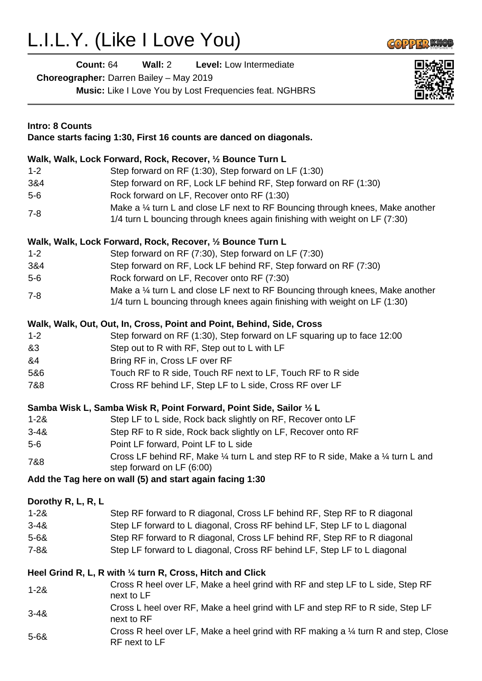## L.I.L.Y. (Like I Love You)



| Count: $64$                                    | Wall: $2$ | <b>Level:</b> Low Intermediate                                 |  |
|------------------------------------------------|-----------|----------------------------------------------------------------|--|
| <b>Choreographer:</b> Darren Bailey – May 2019 |           |                                                                |  |
|                                                |           | <b>Music:</b> Like I Love You by Lost Frequencies feat. NGHBRS |  |



| <b>Intro: 8 Counts</b><br>Dance starts facing 1:30, First 16 counts are danced on diagonals. |                                                                                                                                                              |  |  |
|----------------------------------------------------------------------------------------------|--------------------------------------------------------------------------------------------------------------------------------------------------------------|--|--|
|                                                                                              | Walk, Walk, Lock Forward, Rock, Recover, 1/2 Bounce Turn L                                                                                                   |  |  |
| $1 - 2$                                                                                      | Step forward on RF (1:30), Step forward on LF (1:30)                                                                                                         |  |  |
| 3&4                                                                                          | Step forward on RF, Lock LF behind RF, Step forward on RF (1:30)                                                                                             |  |  |
| $5-6$                                                                                        | Rock forward on LF, Recover onto RF (1:30)                                                                                                                   |  |  |
| $7 - 8$                                                                                      | Make a 1/4 turn L and close LF next to RF Bouncing through knees, Make another<br>1/4 turn L bouncing through knees again finishing with weight on LF (7:30) |  |  |
|                                                                                              | Walk, Walk, Lock Forward, Rock, Recover, 1/2 Bounce Turn L                                                                                                   |  |  |
| $1 - 2$                                                                                      | Step forward on RF (7:30), Step forward on LF (7:30)                                                                                                         |  |  |
| 3&4                                                                                          | Step forward on RF, Lock LF behind RF, Step forward on RF (7:30)                                                                                             |  |  |
| $5-6$                                                                                        | Rock forward on LF, Recover onto RF (7:30)                                                                                                                   |  |  |
| $7 - 8$                                                                                      | Make a 1/4 turn L and close LF next to RF Bouncing through knees, Make another<br>1/4 turn L bouncing through knees again finishing with weight on LF (1:30) |  |  |
|                                                                                              | Walk, Walk, Out, Out, In, Cross, Point and Point, Behind, Side, Cross                                                                                        |  |  |
| $1 - 2$                                                                                      | Step forward on RF (1:30), Step forward on LF squaring up to face 12:00                                                                                      |  |  |
| &3                                                                                           | Step out to R with RF, Step out to L with LF                                                                                                                 |  |  |
| &4                                                                                           | Bring RF in, Cross LF over RF                                                                                                                                |  |  |
| 5&6                                                                                          | Touch RF to R side, Touch RF next to LF, Touch RF to R side                                                                                                  |  |  |
| 7&8                                                                                          | Cross RF behind LF, Step LF to L side, Cross RF over LF                                                                                                      |  |  |
|                                                                                              | Samba Wisk L, Samba Wisk R, Point Forward, Point Side, Sailor 1/2 L                                                                                          |  |  |
| $1 - 28$                                                                                     | Step LF to L side, Rock back slightly on RF, Recover onto LF                                                                                                 |  |  |
| $3 - 48$                                                                                     | Step RF to R side, Rock back slightly on LF, Recover onto RF                                                                                                 |  |  |
| $5-6$                                                                                        | Point LF forward, Point LF to L side                                                                                                                         |  |  |
| 7&8                                                                                          | Cross LF behind RF, Make 1/4 turn L and step RF to R side, Make a 1/4 turn L and<br>step forward on LF (6:00)                                                |  |  |
|                                                                                              | Add the Tag here on wall (5) and start again facing 1:30                                                                                                     |  |  |
| Dorothy R, L, R, L                                                                           |                                                                                                                                                              |  |  |
| $1 - 28$                                                                                     | Step RF forward to R diagonal, Cross LF behind RF, Step RF to R diagonal                                                                                     |  |  |
| $3 - 48$                                                                                     | Step LF forward to L diagonal, Cross RF behind LF, Step LF to L diagonal                                                                                     |  |  |
| $5 - 68$                                                                                     | Step RF forward to R diagonal, Cross LF behind RF, Step RF to R diagonal                                                                                     |  |  |
| $7 - 88$                                                                                     | Step LF forward to L diagonal, Cross RF behind LF, Step LF to L diagonal                                                                                     |  |  |
|                                                                                              |                                                                                                                                                              |  |  |
|                                                                                              | Heel Grind R, L, R with 1/4 turn R, Cross, Hitch and Click                                                                                                   |  |  |
| $1 - 28$                                                                                     | Cross R heel over LF, Make a heel grind with RF and step LF to L side, Step RF<br>next to LF                                                                 |  |  |
| $3 - 48$                                                                                     | Cross L heel over RF, Make a heel grind with LF and step RF to R side, Step LF<br>next to RF                                                                 |  |  |
| $5 - 68$                                                                                     | Cross R heel over LF, Make a heel grind with RF making a 1/4 turn R and step, Close<br>RF next to LF                                                         |  |  |
|                                                                                              |                                                                                                                                                              |  |  |